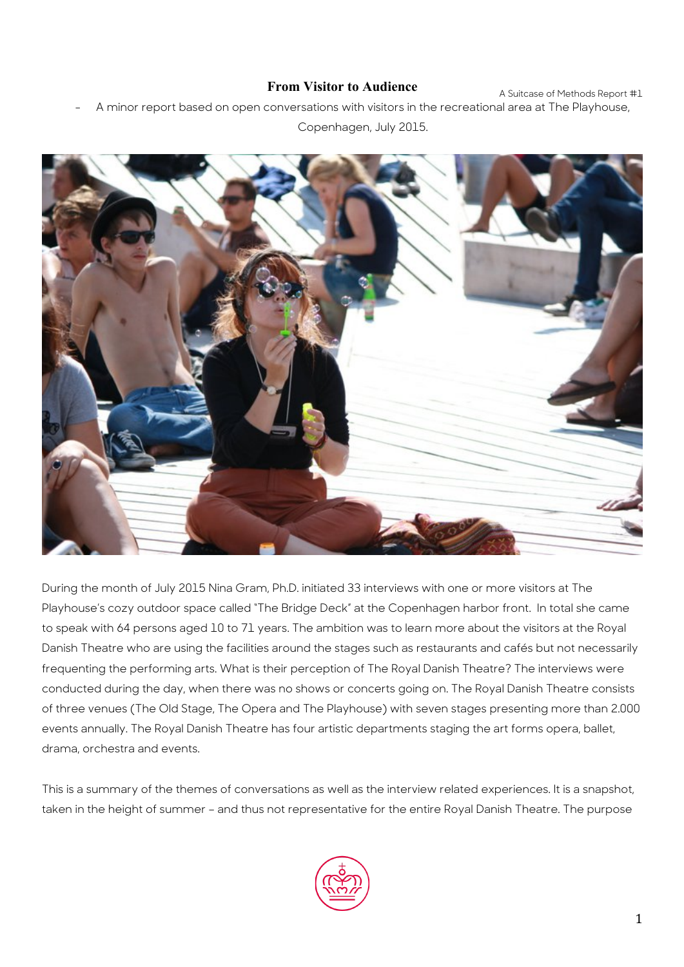### **From Visitor to Audience**

A Suitcase of Methods Report #1

A minor report based on open conversations with visitors in the recreational area at The Playhouse,

Copenhagen, July 2015.

During the month of July 2015 Nina Gram, Ph.D. initiated 33 interviews with one or more visitors at The Playhouse's cozy outdoor space called "The Bridge Deck" at the Copenhagen harbor front. In total she came to speak with 64 persons aged 10 to 71 years. The ambition was to learn more about the visitors at the Royal Danish Theatre who are using the facilities around the stages such as restaurants and cafés but not necessarily frequenting the performing arts. What is their perception of The Royal Danish Theatre? The interviews were conducted during the day, when there was no shows or concerts going on. The Royal Danish Theatre consists of three venues (The Old Stage, The Opera and The Playhouse) with seven stages presenting more than 2.000 events annually. The Royal Danish Theatre has four artistic departments staging the art forms opera, ballet, drama, orchestra and events.

This is a summary of the themes of conversations as well as the interview related experiences. It is a snapshot, taken in the height of summer – and thus not representative for the entire Royal Danish Theatre. The purpose

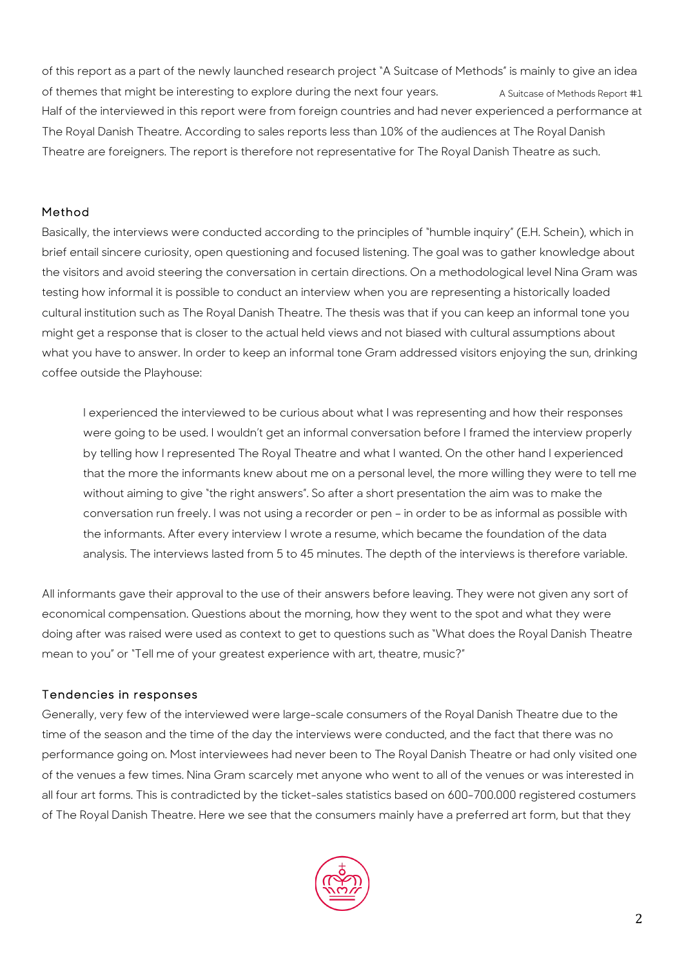A Suitcase of Methods Report #1 of this report as a part of the newly launched research project "A Suitcase of Methods" is mainly to give an idea of themes that might be interesting to explore during the next four years. Half of the interviewed in this report were from foreign countries and had never experienced a performance at The Royal Danish Theatre. According to sales reports less than 10% of the audiences at The Royal Danish Theatre are foreigners. The report is therefore not representative for The Royal Danish Theatre as such.

### Method

Basically, the interviews were conducted according to the principles of "humble inquiry" (E.H. Schein), which in brief entail sincere curiosity, open questioning and focused listening. The goal was to gather knowledge about the visitors and avoid steering the conversation in certain directions. On a methodological level Nina Gram was testing how informal it is possible to conduct an interview when you are representing a historically loaded cultural institution such as The Royal Danish Theatre. The thesis was that if you can keep an informal tone you might get a response that is closer to the actual held views and not biased with cultural assumptions about what you have to answer. In order to keep an informal tone Gram addressed visitors enjoying the sun, drinking coffee outside the Playhouse:

I experienced the interviewed to be curious about what I was representing and how their responses were going to be used. I wouldn't get an informal conversation before I framed the interview properly by telling how I represented The Royal Theatre and what I wanted. On the other hand I experienced that the more the informants knew about me on a personal level, the more willing they were to tell me without aiming to give "the right answers". So after a short presentation the aim was to make the conversation run freely. I was not using a recorder or pen – in order to be as informal as possible with the informants. After every interview I wrote a resume, which became the foundation of the data analysis. The interviews lasted from 5 to 45 minutes. The depth of the interviews is therefore variable.

All informants gave their approval to the use of their answers before leaving. They were not given any sort of economical compensation. Questions about the morning, how they went to the spot and what they were doing after was raised were used as context to get to questions such as "What does the Royal Danish Theatre mean to you" or "Tell me of your greatest experience with art, theatre, music?"

# Tendencies in responses

Generally, very few of the interviewed were large-scale consumers of the Royal Danish Theatre due to the time of the season and the time of the day the interviews were conducted, and the fact that there was no performance going on. Most interviewees had never been to The Royal Danish Theatre or had only visited one of the venues a few times. Nina Gram scarcely met anyone who went to all of the venues or was interested in all four art forms. This is contradicted by the ticket-sales statistics based on 600-700.000 registered costumers of The Royal Danish Theatre. Here we see that the consumers mainly have a preferred art form, but that they

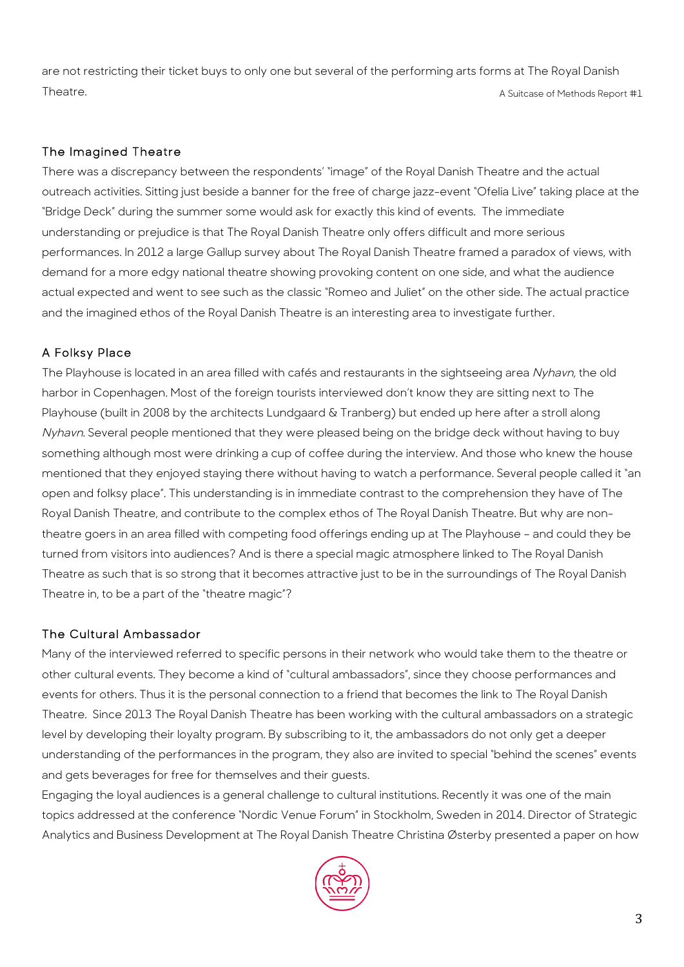A Suitcase of Methods Report #1 are not restricting their ticket buys to only one but several of the performing arts forms at The Royal Danish Theatre.

### The Imagined Theatre

There was a discrepancy between the respondents' "image" of the Royal Danish Theatre and the actual outreach activities. Sitting just beside a banner for the free of charge jazz-event "Ofelia Live" taking place at the "Bridge Deck" during the summer some would ask for exactly this kind of events. The immediate understanding or prejudice is that The Royal Danish Theatre only offers difficult and more serious performances. In 2012 a large Gallup survey about The Royal Danish Theatre framed a paradox of views, with demand for a more edgy national theatre showing provoking content on one side, and what the audience actual expected and went to see such as the classic "Romeo and Juliet" on the other side. The actual practice and the imagined ethos of the Royal Danish Theatre is an interesting area to investigate further.

# A Folksy Place

The Playhouse is located in an area filled with cafés and restaurants in the sightseeing area Nyhavn, the old harbor in Copenhagen. Most of the foreign tourists interviewed don't know they are sitting next to The Playhouse (built in 2008 by the architects Lundgaard & Tranberg) but ended up here after a stroll along Nyhavn. Several people mentioned that they were pleased being on the bridge deck without having to buy something although most were drinking a cup of coffee during the interview. And those who knew the house mentioned that they enjoyed staying there without having to watch a performance. Several people called it "an open and folksy place". This understanding is in immediate contrast to the comprehension they have of The Royal Danish Theatre, and contribute to the complex ethos of The Royal Danish Theatre. But why are nontheatre goers in an area filled with competing food offerings ending up at The Playhouse – and could they be turned from visitors into audiences? And is there a special magic atmosphere linked to The Royal Danish Theatre as such that is so strong that it becomes attractive just to be in the surroundings of The Royal Danish Theatre in, to be a part of the "theatre magic"?

#### The Cultural Ambassador

Many of the interviewed referred to specific persons in their network who would take them to the theatre or other cultural events. They become a kind of "cultural ambassadors", since they choose performances and events for others. Thus it is the personal connection to a friend that becomes the link to The Royal Danish Theatre. Since 2013 The Royal Danish Theatre has been working with the cultural ambassadors on a strategic level by developing their loyalty program. By subscribing to it, the ambassadors do not only get a deeper understanding of the performances in the program, they also are invited to special "behind the scenes" events and gets beverages for free for themselves and their guests.

Engaging the loyal audiences is a general challenge to cultural institutions. Recently it was one of the main topics addressed at the conference "Nordic Venue Forum" in Stockholm, Sweden in 2014. Director of Strategic Analytics and Business Development at The Royal Danish Theatre Christina Østerby presented a paper on how

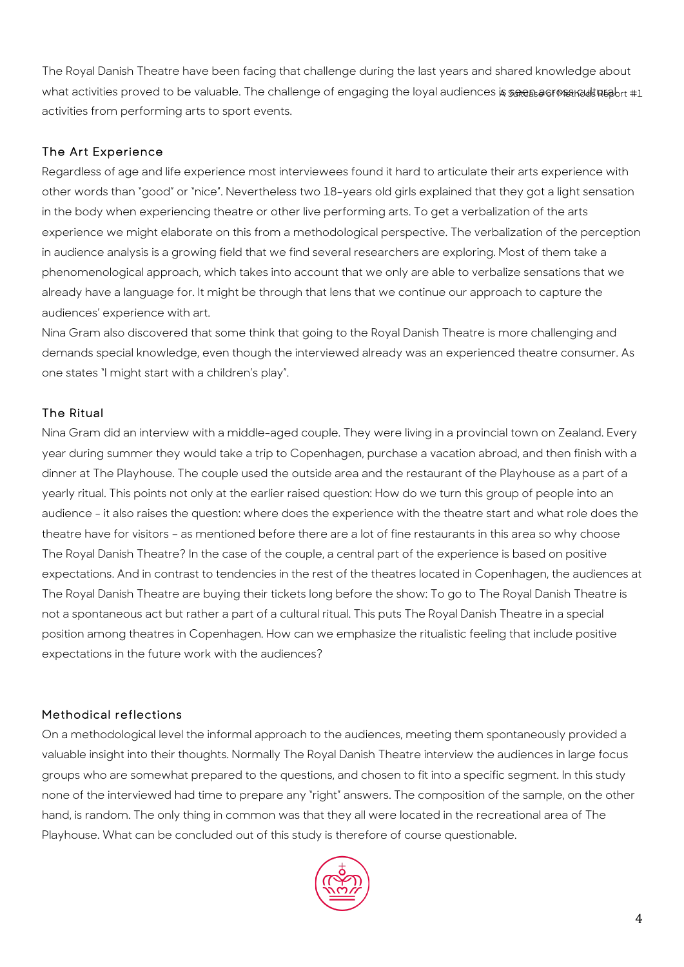what activities proved to be valuable. The challenge of engaging the loyal audiences is seen as resulture that The Royal Danish Theatre have been facing that challenge during the last years and shared knowledge about activities from performing arts to sport events.

# The Art Experience

Regardless of age and life experience most interviewees found it hard to articulate their arts experience with other words than "good" or "nice". Nevertheless two 18-years old girls explained that they got a light sensation in the body when experiencing theatre or other live performing arts. To get a verbalization of the arts experience we might elaborate on this from a methodological perspective. The verbalization of the perception in audience analysis is a growing field that we find several researchers are exploring. Most of them take a phenomenological approach, which takes into account that we only are able to verbalize sensations that we already have a language for. It might be through that lens that we continue our approach to capture the audiences' experience with art.

Nina Gram also discovered that some think that going to the Royal Danish Theatre is more challenging and demands special knowledge, even though the interviewed already was an experienced theatre consumer. As one states "I might start with a children's play".

# The Ritual

Nina Gram did an interview with a middle-aged couple. They were living in a provincial town on Zealand. Every year during summer they would take a trip to Copenhagen, purchase a vacation abroad, and then finish with a dinner at The Playhouse. The couple used the outside area and the restaurant of the Playhouse as a part of a yearly ritual. This points not only at the earlier raised question: How do we turn this group of people into an audience - it also raises the question: where does the experience with the theatre start and what role does the theatre have for visitors – as mentioned before there are a lot of fine restaurants in this area so why choose The Royal Danish Theatre? In the case of the couple, a central part of the experience is based on positive expectations. And in contrast to tendencies in the rest of the theatres located in Copenhagen, the audiences at The Royal Danish Theatre are buying their tickets long before the show: To go to The Royal Danish Theatre is not a spontaneous act but rather a part of a cultural ritual. This puts The Royal Danish Theatre in a special position among theatres in Copenhagen. How can we emphasize the ritualistic feeling that include positive expectations in the future work with the audiences?

# Methodical reflections

On a methodological level the informal approach to the audiences, meeting them spontaneously provided a valuable insight into their thoughts. Normally The Royal Danish Theatre interview the audiences in large focus groups who are somewhat prepared to the questions, and chosen to fit into a specific segment. In this study none of the interviewed had time to prepare any "right" answers. The composition of the sample, on the other hand, is random. The only thing in common was that they all were located in the recreational area of The Playhouse. What can be concluded out of this study is therefore of course questionable.